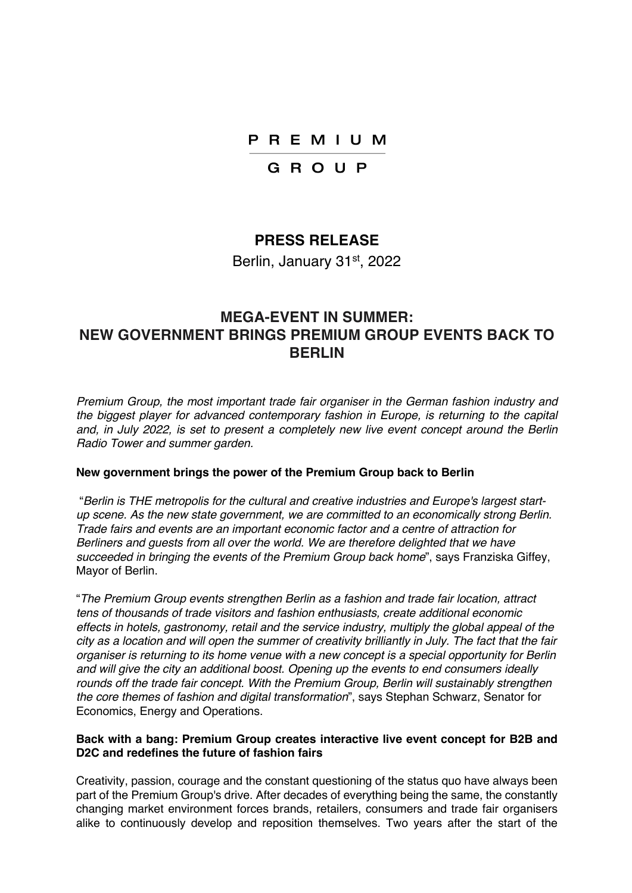## PREMIUM

## GROUP

## **PRESS RELEASE**

Berlin, January 31<sup>st</sup>, 2022

# **MEGA-EVENT IN SUMMER: NEW GOVERNMENT BRINGS PREMIUM GROUP EVENTS BACK TO BERLIN**

*Premium Group, the most important trade fair organiser in the German fashion industry and the biggest player for advanced contemporary fashion in Europe, is returning to the capital and, in July 2022, is set to present a completely new live event concept around the Berlin Radio Tower and summer garden.*

#### **New government brings the power of the Premium Group back to Berlin**

"*Berlin is THE metropolis for the cultural and creative industries and Europe's largest startup scene. As the new state government, we are committed to an economically strong Berlin. Trade fairs and events are an important economic factor and a centre of attraction for Berliners and guests from all over the world. We are therefore delighted that we have succeeded in bringing the events of the Premium Group back home*", says Franziska Giffey, Mayor of Berlin.

"*The Premium Group events strengthen Berlin as a fashion and trade fair location, attract tens of thousands of trade visitors and fashion enthusiasts, create additional economic effects in hotels, gastronomy, retail and the service industry, multiply the global appeal of the city as a location and will open the summer of creativity brilliantly in July. The fact that the fair organiser is returning to its home venue with a new concept is a special opportunity for Berlin and will give the city an additional boost. Opening up the events to end consumers ideally rounds off the trade fair concept. With the Premium Group, Berlin will sustainably strengthen the core themes of fashion and digital transformation*", says Stephan Schwarz, Senator for Economics, Energy and Operations.

#### **Back with a bang: Premium Group creates interactive live event concept for B2B and D2C and redefines the future of fashion fairs**

Creativity, passion, courage and the constant questioning of the status quo have always been part of the Premium Group's drive. After decades of everything being the same, the constantly changing market environment forces brands, retailers, consumers and trade fair organisers alike to continuously develop and reposition themselves. Two years after the start of the